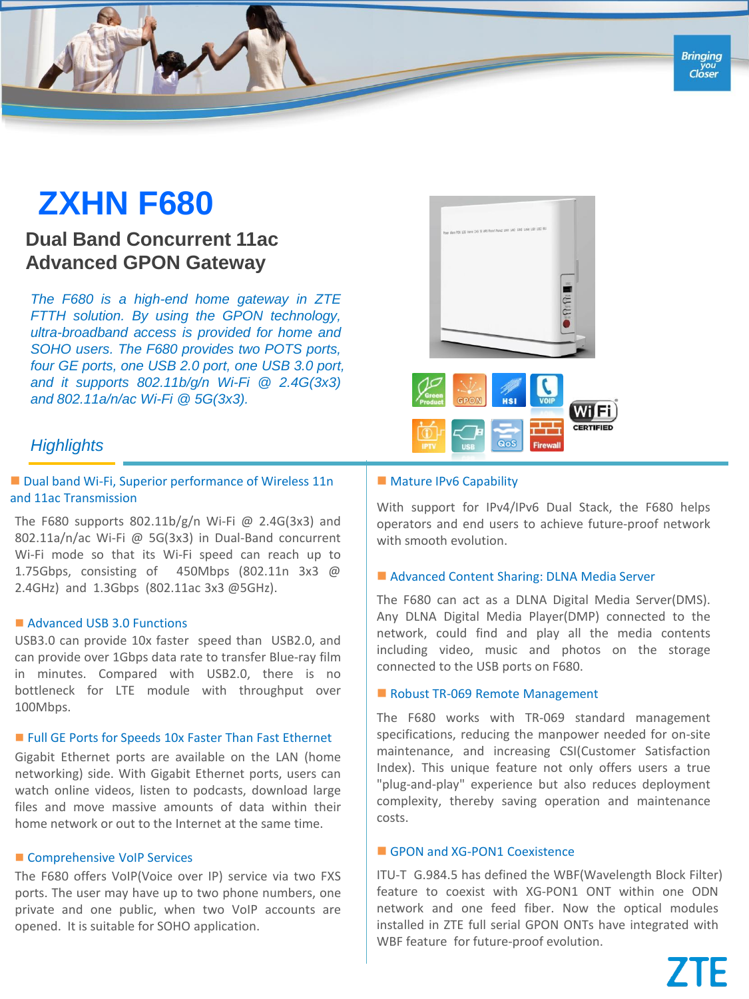## **ZXHN F680**

### **Dual Band Concurrent 11ac Advanced GPON Gateway**

*The F680 is a high-end home gateway in ZTE FTTH solution. By using the GPON technology, ultra-broadband access is provided for home and SOHO users. The F680 provides two POTS ports, four GE ports, one USB 2.0 port, one USB 3.0 port, and it supports 802.11b/g/n Wi-Fi @ 2.4G(3x3) and 802.11a/n/ac Wi-Fi @ 5G(3x3).*



# Wi Fi

#### *Highlights*

#### ■ Dual band Wi-Fi, Superior performance of Wireless 11n and 11ac Transmission

The F680 supports 802.11b/g/n Wi-Fi @ 2.4G(3x3) and 802.11a/n/ac Wi-Fi @ 5G(3x3) in Dual-Band concurrent Wi-Fi mode so that its Wi-Fi speed can reach up to 1.75Gbps, consisting of 450Mbps (802.11n 3x3 @ 2.4GHz) and 1.3Gbps (802.11ac 3x3 @5GHz).

#### Advanced USB 3.0 Functions

USB3.0 can provide 10x faster speed than USB2.0, and can provide over 1Gbps data rate to transfer Blue-ray film in minutes. Compared with USB2.0, there is no bottleneck for LTE module with throughput over 100Mbps.

#### ■ Full GE Ports for Speeds 10x Faster Than Fast Ethernet

Gigabit Ethernet ports are available on the LAN (home networking) side. With Gigabit Ethernet ports, users can watch online videos, listen to podcasts, download large files and move massive amounts of data within their home network or out to the Internet at the same time.

#### Comprehensive VoIP Services

The F680 offers VoIP(Voice over IP) service via two FXS ports. The user may have up to two phone numbers, one private and one public, when two VoIP accounts are opened. It is suitable for SOHO application.

#### **Mature IPv6 Capability**

With support for IPv4/IPv6 Dual Stack, the F680 helps operators and end users to achieve future-proof network with smooth evolution.

#### ■ Advanced Content Sharing: DLNA Media Server

The F680 can act as a DLNA Digital Media Server(DMS). Any DLNA Digital Media Player(DMP) connected to the network, could find and play all the media contents including video, music and photos on the storage connected to the USB ports on F680.

#### Robust TR-069 Remote Management

The F680 works with TR-069 standard management specifications, reducing the manpower needed for on-site maintenance, and increasing CSI(Customer Satisfaction Index). This unique feature not only offers users a true "plug-and-play" experience but also reduces deployment complexity, thereby saving operation and maintenance costs.

#### GPON and XG-PON1 Coexistence

ITU-T G.984.5 has defined the WBF(Wavelength Block Filter) feature to coexist with XG-PON1 ONT within one ODN network and one feed fiber. Now the optical modules installed in ZTE full serial GPON ONTs have integrated with WBF feature for future-proof evolution.